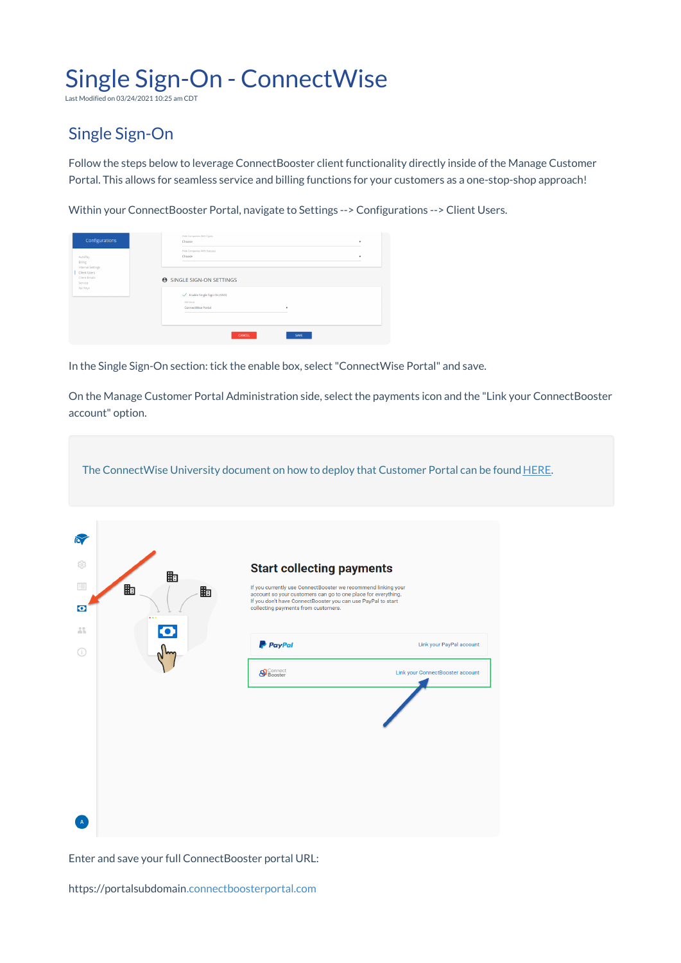## Single Sign-On - ConnectWise

Last Modified on 03/24/2021 10:25 am CDT

## Single Sign-On

Follow the steps below to leverage ConnectBooster client functionality directly inside of the Manage Customer Portal. This allows for seamless service and billing functions for your customers as a one-stop-shop approach!

Within your ConnectBooster Portal, navigate to Settings --> Configurations --> Client Users.

| Configurations<br>AutoPay<br>Billing                                      | Hide Companies With Types<br>Choose<br>Hide Companies With Statuses<br>Choose                            | ٠<br>٠ |
|---------------------------------------------------------------------------|----------------------------------------------------------------------------------------------------------|--------|
| Internal Settings<br>Client Users<br>Client Emails<br>Service<br>Api Keys | <b>A SINGLE SIGN-ON SETTINGS</b><br>← Enable Single Sign-On (SSO)<br>SSO Kind<br>ConnectWise Portal<br>۰ |        |
|                                                                           | CANCEL<br>SAVE                                                                                           |        |

In the Single Sign-On section: tick the enable box, select"ConnectWise Portal" and save.

On the Manage Customer Portal Administration side, select the payments icon and the "Link your ConnectBooster account" option.

The ConnectWise University document on how to deploy that Customer Portal can be found HERE.

| $\sum$<br>63<br>目<br>$\bullet$<br>$\mathbb{Z}_m^n$ | 勖<br>勖<br>勖<br>.<br>O | <b>Start collecting payments</b><br>If you currently use ConnectBooster we recommend linking your<br>account so your customers can go to one place for everything.<br>If you don't have ConnectBooster you can use PayPal to start<br>collecting payments from customers. |                                                              |
|----------------------------------------------------|-----------------------|---------------------------------------------------------------------------------------------------------------------------------------------------------------------------------------------------------------------------------------------------------------------------|--------------------------------------------------------------|
| Œ                                                  |                       | <b>P</b> PayPal<br><b>S</b> Connect                                                                                                                                                                                                                                       | Link your PayPal account<br>Link your ConnectBooster account |
| $\mathbf{A}$                                       |                       |                                                                                                                                                                                                                                                                           |                                                              |

Enter and save your full ConnectBooster portal URL:

https://portalsubdomain.connectboosterportal.com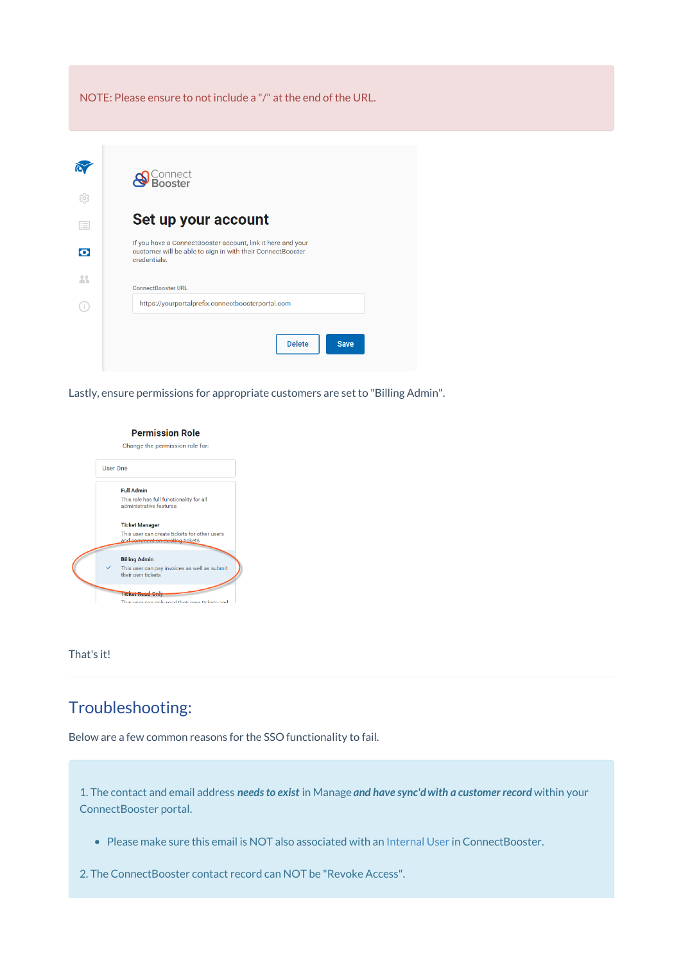NOTE: Please ensure to not include a "/" at the end of the URL.



Lastly, ensure permissions for appropriate customers are set to "Billing Admin".

## **Permission Role**

Change the permission role for:



That's it!

## Troubleshooting:

Below are a few common reasons for the SSO functionality to fail.

1. The contact and email address *needs to exist* in Manage *and have sync'dwith a customer record* within your ConnectBooster portal.

Please make sure this email is NOT also associated with an Internal User in ConnectBooster.

2. The ConnectBooster contact record can NOT be "Revoke Access".